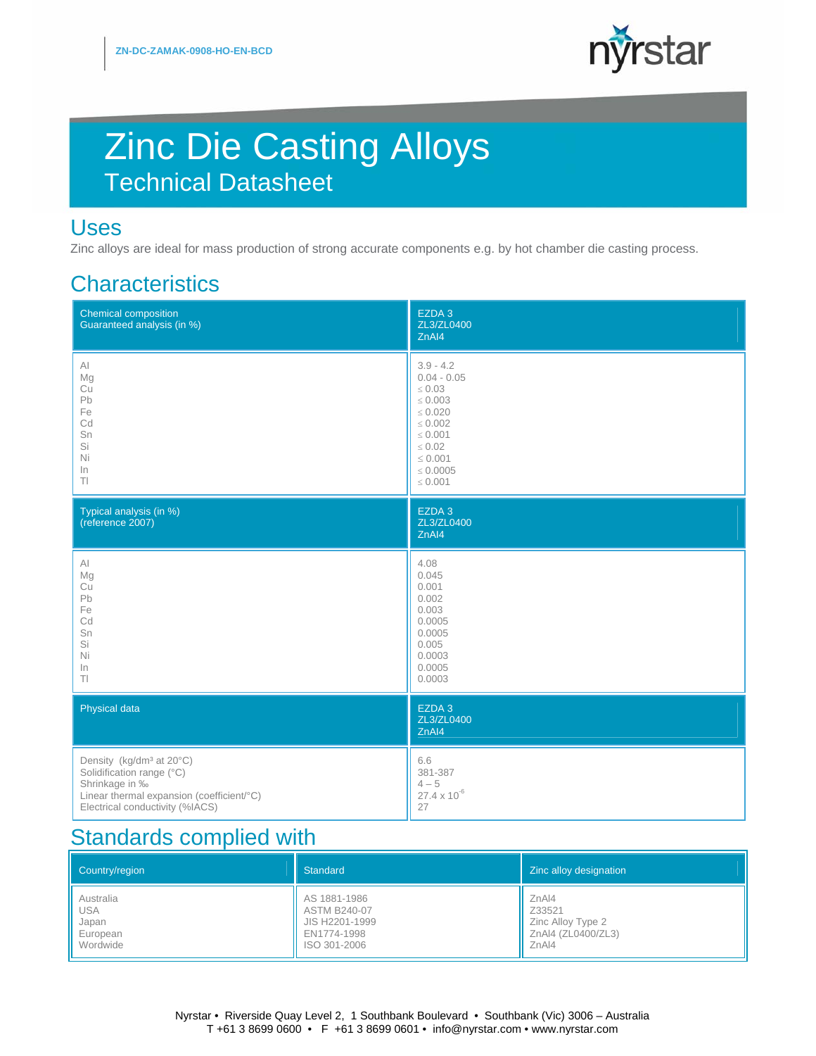

# Zinc Die Casting Alloys Technical Datasheet

#### Uses

Zinc alloys are ideal for mass production of strong accurate components e.g. by hot chamber die casting process.

### **Characteristics**

| <b>Chemical composition</b><br>Guaranteed analysis (in %) | EZDA 3<br>ZL3/ZL0400<br>ZnAI4            |
|-----------------------------------------------------------|------------------------------------------|
| $\mathsf{Al}$                                             | $3.9 - 4.2$                              |
| Mg                                                        | $0.04 - 0.05$                            |
| Cu                                                        | $\leq 0.03$                              |
| Pb                                                        | $\leq 0.003$                             |
| Fe                                                        | $\leq 0.020$                             |
| Cd                                                        | $\leq 0.002$                             |
| Sn                                                        | $\leq 0.001$                             |
| Si                                                        | $\leq 0.02$                              |
| Ni                                                        | $\leq 0.001$                             |
| In                                                        | $\leq 0.0005$                            |
| $T\vert$                                                  | $\leq 0.001$                             |
| Typical analysis (in %)<br>(reference 2007)               | EZDA <sub>3</sub><br>ZL3/ZL0400<br>ZnAI4 |
| AI                                                        | 4.08                                     |
| Mg                                                        | 0.045                                    |
| Cu                                                        | 0.001                                    |
| Pb                                                        | 0.002                                    |
| Fe                                                        | 0.003                                    |
| Cd                                                        | 0.0005                                   |
| Sn                                                        | 0.0005                                   |
| Si                                                        | 0.005                                    |
| Ni                                                        | 0.0003                                   |
| In                                                        | 0.0005                                   |
| TI.                                                       | 0.0003                                   |
| Physical data                                             | EZDA 3<br>ZL3/ZL0400<br>ZnAI4            |
| Density (kg/dm <sup>3</sup> at 20°C)                      | 6.6                                      |
| Solidification range (°C)                                 | 381-387                                  |
| Shrinkage in ‰                                            | $4 - 5$                                  |
| Linear thermal expansion (coefficient/°C)                 | $27.4 \times 10^{-6}$                    |
| Electrical conductivity (%IACS)                           | 27                                       |

### **Standards complied with**

| Country/region | Standard            | Zinc alloy designation |
|----------------|---------------------|------------------------|
| Australia      | AS 1881-1986        | ZnA14                  |
| <b>USA</b>     | <b>ASTM B240-07</b> | Z33521                 |
| Japan          | JIS H2201-1999      | Zinc Alloy Type 2      |
| European       | EN1774-1998         | ZnAI4 (ZL0400/ZL3)     |
| Wordwide       | ISO 301-2006        | ZnA14                  |